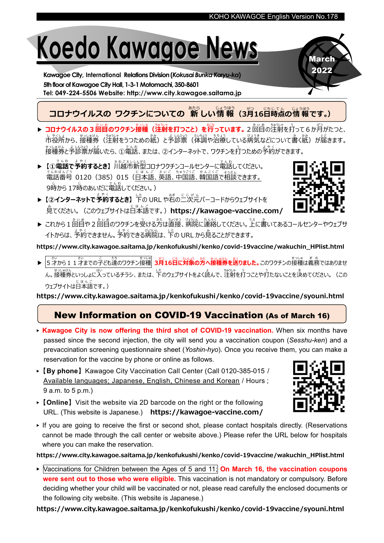# Koedo Kawagoe News

Kawagoe City, International Relations Division(Kokusai Bunka Koryu-ka) 5th floor of Kawagoe City Hall, 1-3-1 Motomachi, 350-8601 Tel: 049-224-5506 Website: http://www.city.kawagoe.saitama.jp

## **コロナウイルスの ワクチンについての 新しい情報 (3月16日時点の情報です。)**

- ▶ コロナウイルスの3回目のワクチン接種 (注射を打つこと) を行っています。2回目の注射を打って6か月がたつと、 市 し 役所 や く し ょ から、接種券 せ っ し ゅ け ん (注射 ちゅうしゃ をうつための紙 かみ )と予 よ 診票 しんひょう (体調 たいちょう や治療 ち り ょ う している病気 び ょ う き などについて書 か く紙 かみ )が届 と ど きます。 <u>もっしゅしょ。まい。</u><br>接種券と予診票が届いたら、①電話、または、②インターネットで、ワクチンを打つための予約ができます。
- ▶ 【①電話で予約するとき】 パロ<u>ヒ</u>ミュレムカホホ<br>▶ 【①電話で予約するとき】 パ川越市新型コロナワクチンコールセンターに電話してください。 でんりばんごう<br>電話番号 0120(385)015(日本語、英語、中国語、韓国語で相談 できます。 9時から 17時のあいだに電話してください。)
- ▶【②インターネットで<sup>まゃ☆</sup>するとき】 下の URL や右の二次元バーコードからウェブサイトを 。<br>見てください。(このウェブサイトは日本語です。)**<https://kawagoe-vaccine.com/>**
- ▶ これから 1 回目や 2 回目のワクチンを受ける方は直接、病院に連絡してください。上に書いてあるコールセンターやウェブサ ィトからは、 予約できる病院は、下の URL から見ることができます。

https://www.city.kawagoe.saitama.jp/kenkofukushi/kenko/covid-19vaccine/wakuchin\_HPlist.html

▶ 5才 さ い から11才 さ い までの子 こ ども達 たち のワクチン接種 せ っ し ゅ 3月 がつ 16日 にち に対象 たいしょう の方 かた へ接種券 せ っ し ゅ けん を送 お く りました。このワクチンの接種 せ っ し ゅ は義務 ぎ む ではありませ ん。接種券といっしょに入っているチラシ、または、<sup>した</sup>のウェブサイトをよく読んで、注射を打つことや打たないことを決めてください。(この 。。。。。。。。<br>ウェブサイトは日本語です。)

https://www.city.kawagoe.saitama.jp/kenkofukushi/kenko/covid-19vaccine/syouni.html

#### New Information on COVID-19 Vaccination (As of March 16)

- ▶ Kawagoe City is now offering the third shot of COVID-19 vaccination. When six months have passed since the second injection, the city will send you a vaccination coupon (Sesshu-ken) and a prevaccination screening questionnaire sheet (Yoshin-hyo). Once you receive them, you can make a reservation for the vaccine by phone or online as follows.
- ▶【By phone】Kawagoe City Vaccination Call Center (Call 0120-385-015 / Available languages; Japanese, English, Chinese and Korean / Hours ; 9 a.m. to 5 p.m.)
- $\triangleright$  [Online] Visit the website via 2D barcode on the right or the following URL. (This website is Japanese.) <https://kawagoe-vaccine.com/>
- ▶ If you are going to receive the first or second shot, please contact hospitals directly. (Reservations cannot be made through the call center or website above.) Please refer the URL below for hospitals where you can make the reservation.

https://www.city.kawagoe.saitama.jp/kenkofukushi/kenko/covid-19vaccine/wakuchin\_HPlist.html

 $\triangleright$  Vaccinations for Children between the Ages of 5 and 11; On March 16, the vaccination coupons were sent out to those who were eligible. This vaccination is not mandatory or compulsory. Before deciding whether your child will be vaccinated or not, please read carefully the enclosed documents or the following city website. (This website is Japanese.)

https://www.city.kawagoe.saitama.jp/kenkofukushi/kenko/covid-19vaccine/syouni.html





March 2022